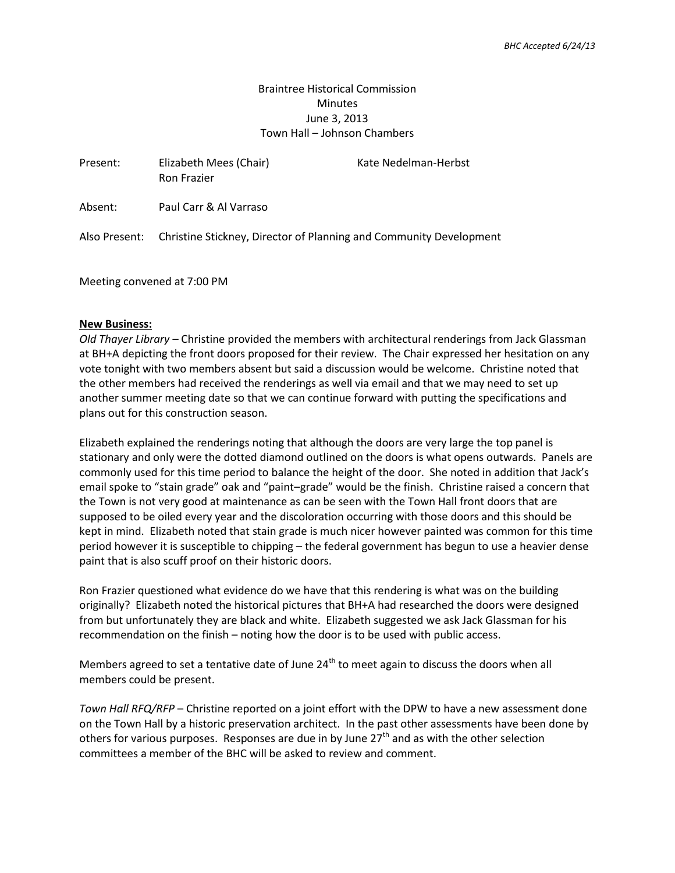# Braintree Historical Commission Minutes June 3, 2013 Town Hall – Johnson Chambers

| Present: | Elizabeth Mees (Chair)<br>Ron Frazier                                            | Kate Nedelman-Herbst |
|----------|----------------------------------------------------------------------------------|----------------------|
| Absent:  | Paul Carr & Al Varraso                                                           |                      |
|          | Also Present: Christine Stickney, Director of Planning and Community Development |                      |

Meeting convened at 7:00 PM

### **New Business:**

*Old Thayer Library –* Christine provided the members with architectural renderings from Jack Glassman at BH+A depicting the front doors proposed for their review. The Chair expressed her hesitation on any vote tonight with two members absent but said a discussion would be welcome. Christine noted that the other members had received the renderings as well via email and that we may need to set up another summer meeting date so that we can continue forward with putting the specifications and plans out for this construction season.

Elizabeth explained the renderings noting that although the doors are very large the top panel is stationary and only were the dotted diamond outlined on the doors is what opens outwards. Panels are commonly used for this time period to balance the height of the door. She noted in addition that Jack's email spoke to "stain grade" oak and "paint–grade" would be the finish. Christine raised a concern that the Town is not very good at maintenance as can be seen with the Town Hall front doors that are supposed to be oiled every year and the discoloration occurring with those doors and this should be kept in mind. Elizabeth noted that stain grade is much nicer however painted was common for this time period however it is susceptible to chipping – the federal government has begun to use a heavier dense paint that is also scuff proof on their historic doors.

Ron Frazier questioned what evidence do we have that this rendering is what was on the building originally? Elizabeth noted the historical pictures that BH+A had researched the doors were designed from but unfortunately they are black and white. Elizabeth suggested we ask Jack Glassman for his recommendation on the finish – noting how the door is to be used with public access.

Members agreed to set a tentative date of June  $24<sup>th</sup>$  to meet again to discuss the doors when all members could be present.

*Town Hall RFQ/RFP* – Christine reported on a joint effort with the DPW to have a new assessment done on the Town Hall by a historic preservation architect. In the past other assessments have been done by others for various purposes. Responses are due in by June  $27<sup>th</sup>$  and as with the other selection committees a member of the BHC will be asked to review and comment.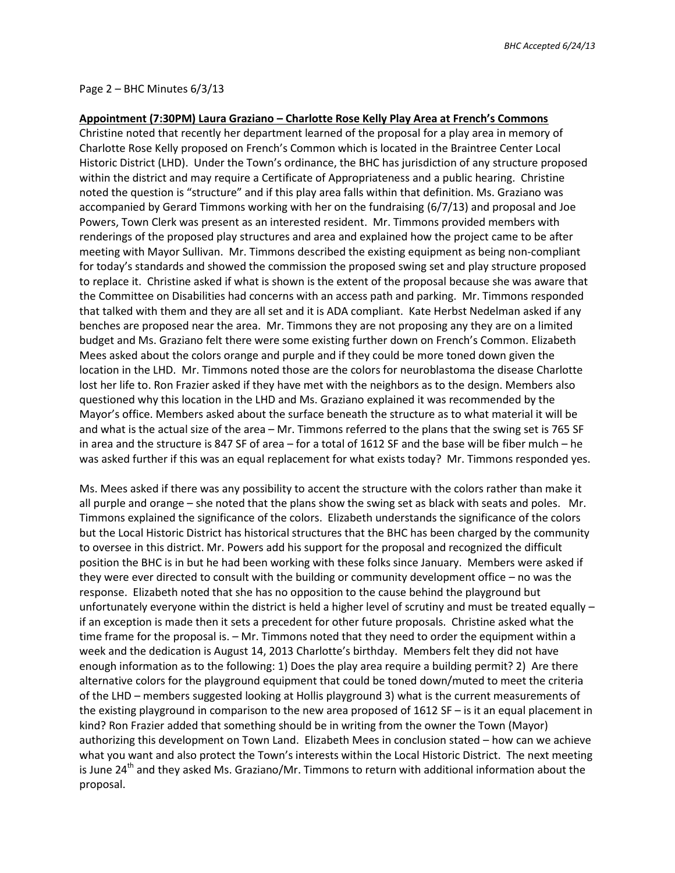### Page 2 – BHC Minutes 6/3/13

#### **Appointment (7:30PM) Laura Graziano – Charlotte Rose Kelly Play Area at French's Commons**

Christine noted that recently her department learned of the proposal for a play area in memory of Charlotte Rose Kelly proposed on French's Common which is located in the Braintree Center Local Historic District (LHD). Under the Town's ordinance, the BHC has jurisdiction of any structure proposed within the district and may require a Certificate of Appropriateness and a public hearing. Christine noted the question is "structure" and if this play area falls within that definition. Ms. Graziano was accompanied by Gerard Timmons working with her on the fundraising (6/7/13) and proposal and Joe Powers, Town Clerk was present as an interested resident. Mr. Timmons provided members with renderings of the proposed play structures and area and explained how the project came to be after meeting with Mayor Sullivan. Mr. Timmons described the existing equipment as being non-compliant for today's standards and showed the commission the proposed swing set and play structure proposed to replace it. Christine asked if what is shown is the extent of the proposal because she was aware that the Committee on Disabilities had concerns with an access path and parking. Mr. Timmons responded that talked with them and they are all set and it is ADA compliant. Kate Herbst Nedelman asked if any benches are proposed near the area. Mr. Timmons they are not proposing any they are on a limited budget and Ms. Graziano felt there were some existing further down on French's Common. Elizabeth Mees asked about the colors orange and purple and if they could be more toned down given the location in the LHD. Mr. Timmons noted those are the colors for neuroblastoma the disease Charlotte lost her life to. Ron Frazier asked if they have met with the neighbors as to the design. Members also questioned why this location in the LHD and Ms. Graziano explained it was recommended by the Mayor's office. Members asked about the surface beneath the structure as to what material it will be and what is the actual size of the area – Mr. Timmons referred to the plans that the swing set is 765 SF in area and the structure is 847 SF of area – for a total of 1612 SF and the base will be fiber mulch – he was asked further if this was an equal replacement for what exists today? Mr. Timmons responded yes.

Ms. Mees asked if there was any possibility to accent the structure with the colors rather than make it all purple and orange – she noted that the plans show the swing set as black with seats and poles. Mr. Timmons explained the significance of the colors. Elizabeth understands the significance of the colors but the Local Historic District has historical structures that the BHC has been charged by the community to oversee in this district. Mr. Powers add his support for the proposal and recognized the difficult position the BHC is in but he had been working with these folks since January. Members were asked if they were ever directed to consult with the building or community development office – no was the response. Elizabeth noted that she has no opposition to the cause behind the playground but unfortunately everyone within the district is held a higher level of scrutiny and must be treated equally – if an exception is made then it sets a precedent for other future proposals. Christine asked what the time frame for the proposal is. – Mr. Timmons noted that they need to order the equipment within a week and the dedication is August 14, 2013 Charlotte's birthday. Members felt they did not have enough information as to the following: 1) Does the play area require a building permit? 2) Are there alternative colors for the playground equipment that could be toned down/muted to meet the criteria of the LHD – members suggested looking at Hollis playground 3) what is the current measurements of the existing playground in comparison to the new area proposed of 1612 SF – is it an equal placement in kind? Ron Frazier added that something should be in writing from the owner the Town (Mayor) authorizing this development on Town Land. Elizabeth Mees in conclusion stated – how can we achieve what you want and also protect the Town's interests within the Local Historic District. The next meeting is June  $24<sup>th</sup>$  and they asked Ms. Graziano/Mr. Timmons to return with additional information about the proposal.